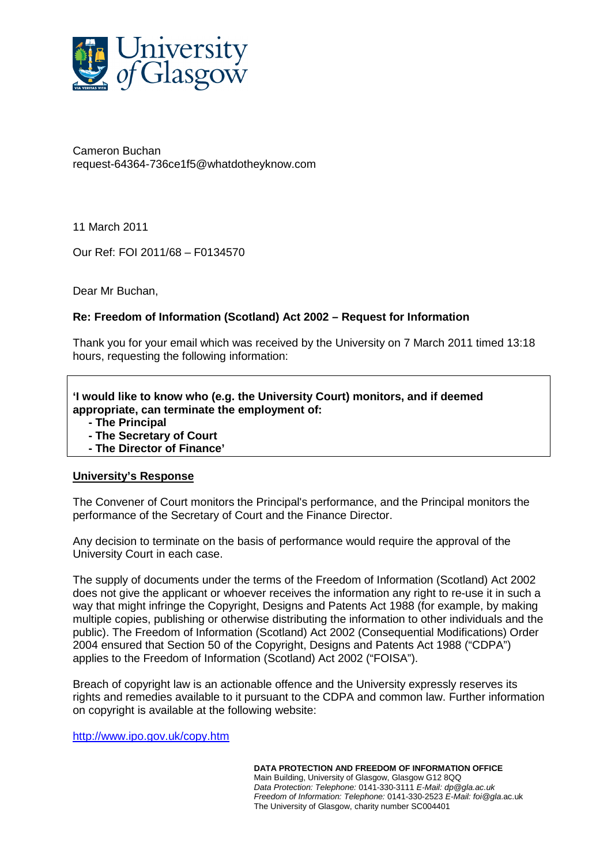

Cameron Buchan request-64364-736ce1f5@whatdotheyknow.com

11 March 2011

Our Ref: FOI 2011/68 – F0134570

Dear Mr Buchan,

## **Re: Freedom of Information (Scotland) Act 2002 – Request for Information**

Thank you for your email which was received by the University on 7 March 2011 timed 13:18 hours, requesting the following information:

**'I would like to know who (e.g. the University Court) monitors, and if deemed appropriate, can terminate the employment of:** 

- **The Principal**
- **The Secretary of Court**
- **The Director of Finance'**

## **University's Response**

The Convener of Court monitors the Principal's performance, and the Principal monitors the performance of the Secretary of Court and the Finance Director.

Any decision to terminate on the basis of performance would require the approval of the University Court in each case.

The supply of documents under the terms of the Freedom of Information (Scotland) Act 2002 does not give the applicant or whoever receives the information any right to re-use it in such a way that might infringe the Copyright, Designs and Patents Act 1988 (for example, by making multiple copies, publishing or otherwise distributing the information to other individuals and the public). The Freedom of Information (Scotland) Act 2002 (Consequential Modifications) Order 2004 ensured that Section 50 of the Copyright, Designs and Patents Act 1988 ("CDPA") applies to the Freedom of Information (Scotland) Act 2002 ("FOISA").

Breach of copyright law is an actionable offence and the University expressly reserves its rights and remedies available to it pursuant to the CDPA and common law. Further information on copyright is available at the following website:

http://www.ipo.gov.uk/copy.htm

**DATA PROTECTION AND FREEDOM OF INFORMATION OFFICE** Main Building, University of Glasgow, Glasgow G12 8QQ Data Protection: Telephone: 0141-330-3111 E-Mail: dp@gla.ac.uk Freedom of Information: Telephone: 0141-330-2523 E-Mail: foi@gla.ac.uk The University of Glasgow, charity number SC004401